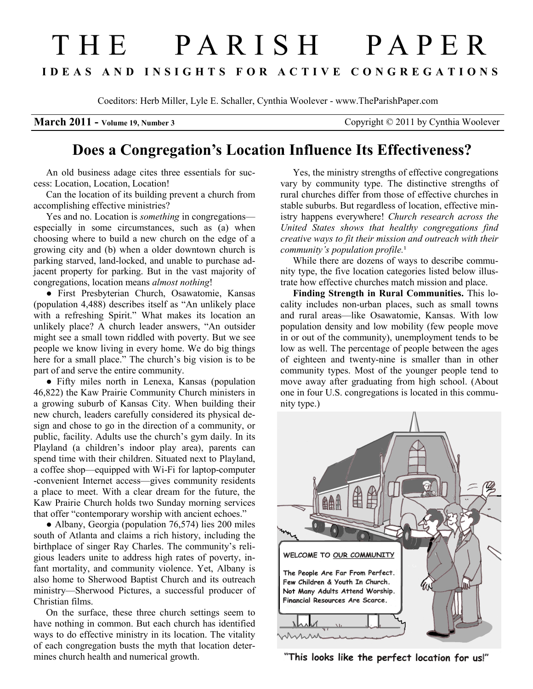## T H E P A R I S H P A P E R I D E A S A N D I N S I G H T S F O R A C T I V E C O N G R E G A T I O N S

Coeditors: Herb Miller, Lyle E. Schaller, Cynthia Woolever - www.TheParishPaper.com

March 2011 - Volume 19, Number 3 Copyright © 2011 by Cynthia Woolever

## Does a Congregation's Location Influence Its Effectiveness?

An old business adage cites three essentials for success: Location, Location, Location!

Can the location of its building prevent a church from accomplishing effective ministries?

Yes and no. Location is *something* in congregations especially in some circumstances, such as (a) when choosing where to build a new church on the edge of a growing city and (b) when a older downtown church is parking starved, land-locked, and unable to purchase adjacent property for parking. But in the vast majority of congregations, location means almost nothing!

● First Presbyterian Church, Osawatomie, Kansas (population 4,488) describes itself as "An unlikely place with a refreshing Spirit." What makes its location an unlikely place? A church leader answers, "An outsider might see a small town riddled with poverty. But we see people we know living in every home. We do big things here for a small place." The church's big vision is to be part of and serve the entire community.

● Fifty miles north in Lenexa, Kansas (population 46,822) the Kaw Prairie Community Church ministers in a growing suburb of Kansas City. When building their new church, leaders carefully considered its physical design and chose to go in the direction of a community, or public, facility. Adults use the church's gym daily. In its Playland (a children's indoor play area), parents can spend time with their children. Situated next to Playland, a coffee shop—equipped with Wi-Fi for laptop-computer -convenient Internet access—gives community residents a place to meet. With a clear dream for the future, the Kaw Prairie Church holds two Sunday morning services that offer "contemporary worship with ancient echoes."

● Albany, Georgia (population 76,574) lies 200 miles south of Atlanta and claims a rich history, including the birthplace of singer Ray Charles. The community's religious leaders unite to address high rates of poverty, infant mortality, and community violence. Yet, Albany is also home to Sherwood Baptist Church and its outreach ministry—Sherwood Pictures, a successful producer of Christian films.

On the surface, these three church settings seem to have nothing in common. But each church has identified ways to do effective ministry in its location. The vitality of each congregation busts the myth that location determines church health and numerical growth.

Yes, the ministry strengths of effective congregations vary by community type. The distinctive strengths of rural churches differ from those of effective churches in stable suburbs. But regardless of location, effective ministry happens everywhere! Church research across the United States shows that healthy congregations find creative ways to fit their mission and outreach with their community's population profile. $<sup>1</sup>$ </sup>

While there are dozens of ways to describe community type, the five location categories listed below illustrate how effective churches match mission and place.

Finding Strength in Rural Communities. This locality includes non-urban places, such as small towns and rural areas—like Osawatomie, Kansas. With low population density and low mobility (few people move in or out of the community), unemployment tends to be low as well. The percentage of people between the ages of eighteen and twenty-nine is smaller than in other community types. Most of the younger people tend to move away after graduating from high school. (About one in four U.S. congregations is located in this community type.)



"This looks like the perfect location for us!"